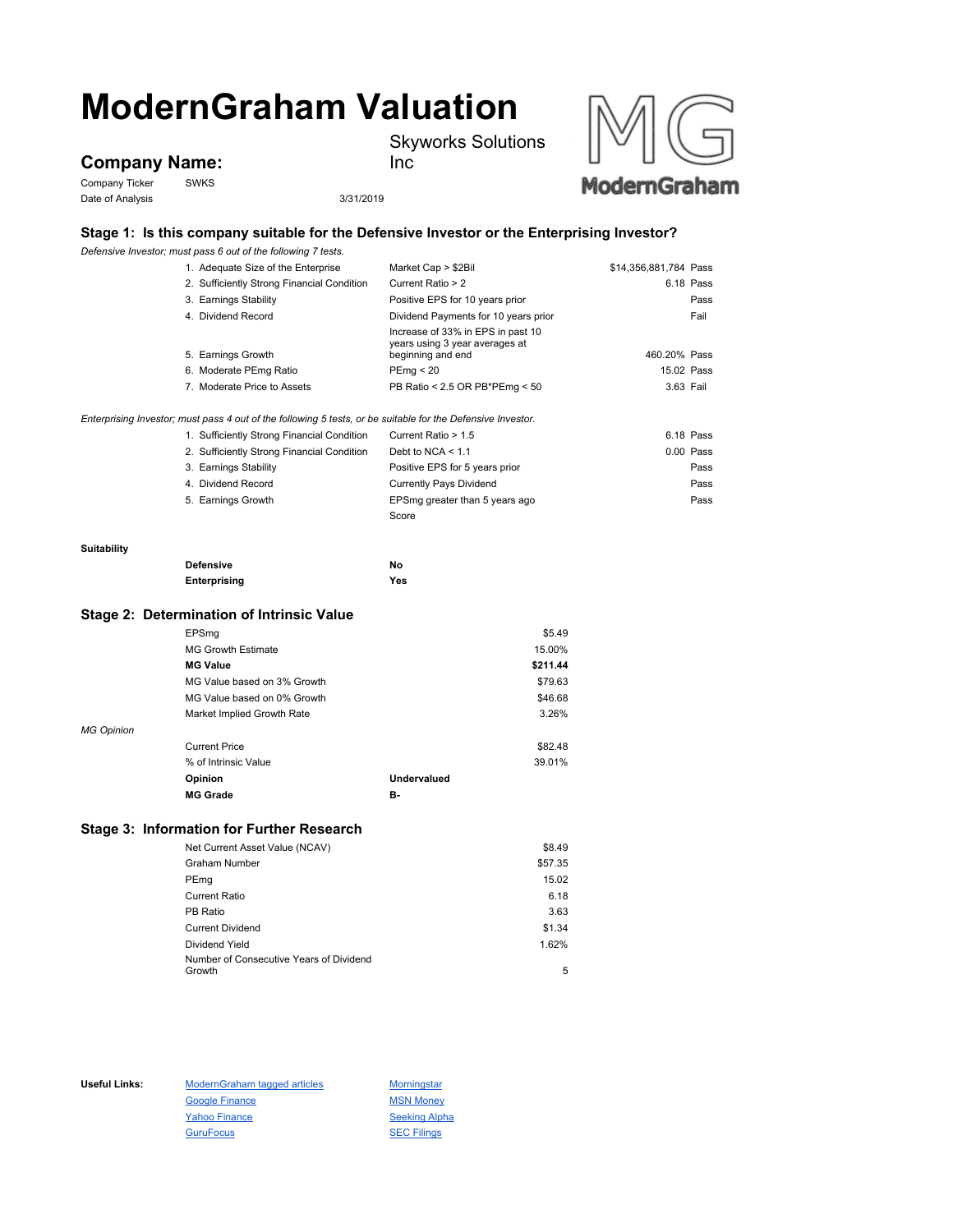# **ModernGraham Valuation**

Skyworks Solutions



Company Ticker SWKS Date of Analysis 3/31/2019

Inc



# **Stage 1: Is this company suitable for the Defensive Investor or the Enterprising Investor?**

*Defensive Investor; must pass 6 out of the following 7 tests.*

| \$14,356,881,784 Pass<br>6.18 Pass<br>Positive EPS for 10 years prior<br>Pass<br>Dividend Payments for 10 years prior<br>Fail<br>Increase of 33% in EPS in past 10<br>years using 3 year averages at<br>460.20% Pass |
|----------------------------------------------------------------------------------------------------------------------------------------------------------------------------------------------------------------------|
|                                                                                                                                                                                                                      |
|                                                                                                                                                                                                                      |
|                                                                                                                                                                                                                      |
|                                                                                                                                                                                                                      |
|                                                                                                                                                                                                                      |
| 15.02 Pass                                                                                                                                                                                                           |
| PB Ratio < 2.5 OR PB*PEmg < 50<br>3.63 Fail                                                                                                                                                                          |
| Enterprising Investor; must pass 4 out of the following 5 tests, or be suitable for the Defensive Investor.                                                                                                          |
| 6.18 Pass                                                                                                                                                                                                            |
| $0.00$ Pass                                                                                                                                                                                                          |
| Positive EPS for 5 years prior<br>Pass                                                                                                                                                                               |
| <b>Currently Pays Dividend</b><br>Pass                                                                                                                                                                               |
| EPSmg greater than 5 years ago<br>Pass                                                                                                                                                                               |
|                                                                                                                                                                                                                      |
|                                                                                                                                                                                                                      |

# **Suitability**

| <b>Defensive</b> | Νo  |
|------------------|-----|
| Enterprising     | Yes |

### **Stage 2: Determination of Intrinsic Value**

|                   | EPSmg                       |             | \$5.49   |
|-------------------|-----------------------------|-------------|----------|
|                   | <b>MG Growth Estimate</b>   |             | 15.00%   |
|                   | <b>MG Value</b>             |             | \$211.44 |
|                   | MG Value based on 3% Growth |             | \$79.63  |
|                   | MG Value based on 0% Growth |             | \$46.68  |
|                   | Market Implied Growth Rate  |             | 3.26%    |
| <b>MG Opinion</b> |                             |             |          |
|                   | <b>Current Price</b>        |             | \$82.48  |
|                   | % of Intrinsic Value        |             | 39.01%   |
|                   | Opinion                     | Undervalued |          |
|                   | <b>MG Grade</b>             | в.          |          |

## **Stage 3: Information for Further Research**

| Net Current Asset Value (NCAV)          | \$8.49  |
|-----------------------------------------|---------|
| <b>Graham Number</b>                    | \$57.35 |
| PEmg                                    | 15.02   |
| <b>Current Ratio</b>                    | 6.18    |
| PB Ratio                                | 3.63    |
| <b>Current Dividend</b>                 | \$1.34  |
| Dividend Yield                          | 1.62%   |
| Number of Consecutive Years of Dividend |         |
| Growth                                  | 5       |

Useful Links: ModernGraham tagged articles Morningstar Google Finance MSN Money Yahoo Finance Seeking Alpha GuruFocus **SEC Filings**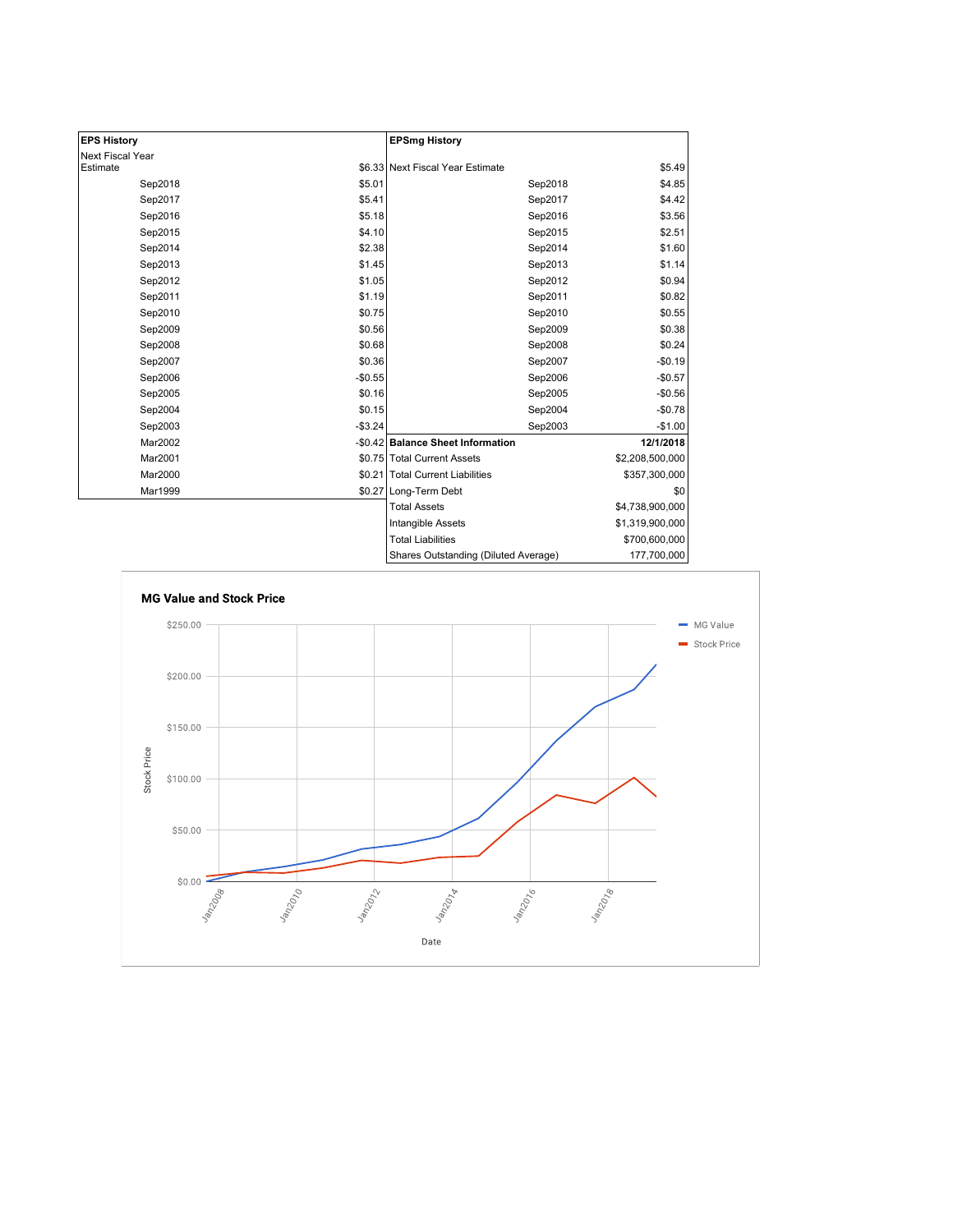| <b>EPS History</b> |          | <b>EPSmg History</b>                 |                 |
|--------------------|----------|--------------------------------------|-----------------|
| Next Fiscal Year   |          |                                      |                 |
| Estimate           |          | \$6.33 Next Fiscal Year Estimate     | \$5.49          |
| Sep2018            | \$5.01   | Sep2018                              | \$4.85          |
| Sep2017            | \$5.41   | Sep2017                              | \$4.42          |
| Sep2016            | \$5.18   | Sep2016                              | \$3.56          |
| Sep2015            | \$4.10   | Sep2015                              | \$2.51          |
| Sep2014            | \$2.38   | Sep2014                              | \$1.60          |
| Sep2013            | \$1.45   | Sep2013                              | \$1.14          |
| Sep2012            | \$1.05   | Sep2012                              | \$0.94          |
| Sep2011            | \$1.19   | Sep2011                              | \$0.82          |
| Sep2010            | \$0.75   | Sep2010                              | \$0.55          |
| Sep2009            | \$0.56   | Sep2009                              | \$0.38          |
| Sep2008            | \$0.68   | Sep2008                              | \$0.24          |
| Sep2007            | \$0.36   | Sep2007                              | $-$0.19$        |
| Sep2006            | $-$0.55$ | Sep2006                              | $-$0.57$        |
| Sep2005            | \$0.16   | Sep2005                              | $-$0.56$        |
| Sep2004            | \$0.15   | Sep2004                              | $-$0.78$        |
| Sep2003            | $-$3.24$ | Sep2003                              | $-$1.00$        |
| Mar2002            |          | -\$0.42 Balance Sheet Information    | 12/1/2018       |
| Mar2001            |          | \$0.75 Total Current Assets          | \$2,208,500,000 |
| Mar2000            |          | \$0.21 Total Current Liabilities     | \$357,300,000   |
| Mar1999            |          | \$0.27 Long-Term Debt                | \$0             |
|                    |          | <b>Total Assets</b>                  | \$4,738,900,000 |
|                    |          | <b>Intangible Assets</b>             | \$1,319,900,000 |
|                    |          | <b>Total Liabilities</b>             | \$700,600,000   |
|                    |          | Shares Outstanding (Diluted Average) | 177,700,000     |